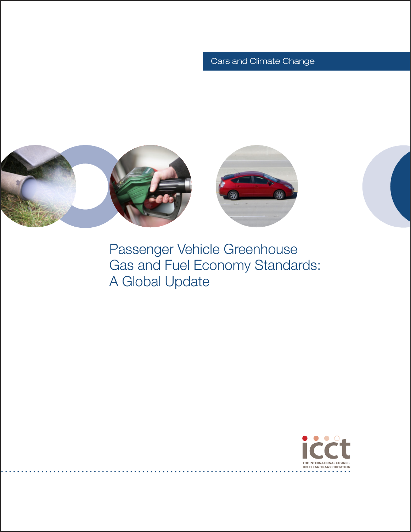# Cars and Climate Change



Passenger Vehicle Greenhouse Gas and Fuel Economy Standards: A Global Update

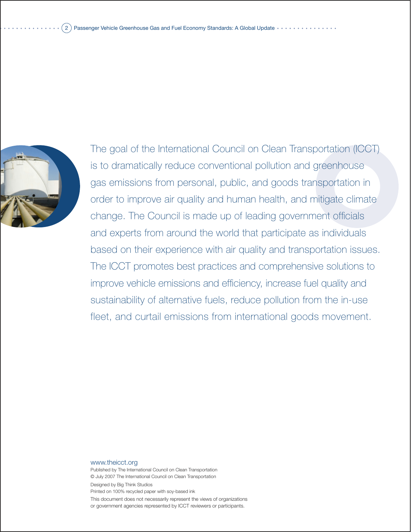

The goal of the International Council on Clean Transportation (ICCT) is to dramatically reduce conventional pollution and greenhouse gas emissions from personal, public, and goods transportation in order to improve air quality and human health, and mitigate climate change. The Council is made up of leading government officials and experts from around the world that participate as individuals based on their experience with air quality and transportation issues. The ICCT promotes best practices and comprehensive solutions to improve vehicle emissions and efficiency, increase fuel quality and sustainability of alternative fuels, reduce pollution from the in-use fleet, and curtail emissions from international goods movement.

www.theicct.org

Published by The International Council on Clean Transportation © July 2007 The International Council on Clean Transportation Designed by Big Think Studios Printed on 100% recycled paper with soy-based ink

This document does not necessarily represent the views of organizations or government agencies represented by ICCT reviewers or participants.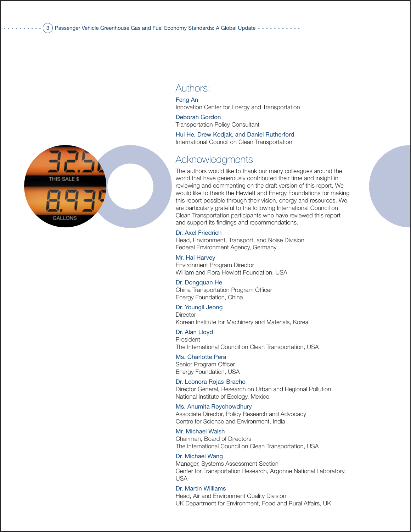

## Authors:

Feng An Innovation Center for Energy and Transportation

Deborah Gordon Transportation Policy Consultant

Hui He, Drew Kodjak, and Daniel Rutherford International Council on Clean Transportation

# Acknowledgments

The authors would like to thank our many colleagues around the world that have generously contributed their time and insight in reviewing and commenting on the draft version of this report. We would like to thank the Hewlett and Energy Foundations for making this report possible through their vision, energy and resources. We are particularly grateful to the following International Council on Clean Transportation participants who have reviewed this report and support its findings and recommendations.

Dr. Axel Friedrich Head, Environment, Transport, and Noise Division Federal Environment Agency, Germany

Mr. Hal Harvey Environment Program Director William and Flora Hewlett Foundation, USA

Dr. Dongquan He China Transportation Program Officer Energy Foundation, China

Dr. Youngil Jeong **Director** Korean Institute for Machinery and Materials, Korea

Dr. Alan Lloyd President The International Council on Clean Transportation, USA

Ms. Charlotte Pera Senior Program Officer Energy Foundation, USA

Dr. Leonora Rojas-Bracho Director General, Research on Urban and Regional Pollution National Institute of Ecology, Mexico

Ms. Anumita Roychowdhury Associate Director, Policy Research and Advocacy Centre for Science and Environment, India

Mr. Michael Walsh Chairman, Board of Directors The International Council on Clean Transportation, USA

Dr. Michael Wang Manager, Systems Assessment Section Center for Transportation Research, Argonne National Laboratory, USA

Dr. Martin Williams Head, Air and Environment Quality Division UK Department for Environment, Food and Rural Affairs, UK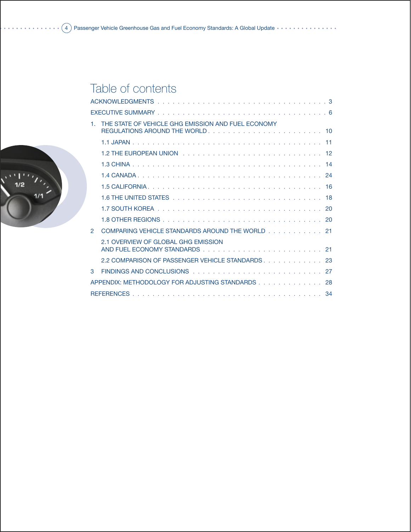# Table of contents

|                                                  | THE STATE OF VEHICLE GHG EMISSION AND FUEL ECONOMY |  |  |  |  |
|--------------------------------------------------|----------------------------------------------------|--|--|--|--|
|                                                  |                                                    |  |  |  |  |
|                                                  |                                                    |  |  |  |  |
|                                                  |                                                    |  |  |  |  |
|                                                  |                                                    |  |  |  |  |
|                                                  |                                                    |  |  |  |  |
|                                                  |                                                    |  |  |  |  |
|                                                  |                                                    |  |  |  |  |
|                                                  |                                                    |  |  |  |  |
| $\mathcal{P}$                                    | COMPARING VEHICLE STANDARDS AROUND THE WORLD 21    |  |  |  |  |
|                                                  | 2.1 OVERVIEW OF GLOBAL GHG EMISSION                |  |  |  |  |
|                                                  | 2.2 COMPARISON OF PASSENGER VEHICLE STANDARDS. 23  |  |  |  |  |
| 3                                                |                                                    |  |  |  |  |
| APPENDIX: METHODOLOGY FOR ADJUSTING STANDARDS 28 |                                                    |  |  |  |  |
|                                                  |                                                    |  |  |  |  |

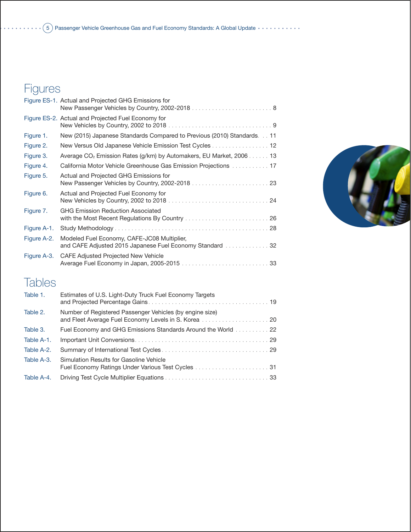# Figures

| New (2015) Japanese Standards Compared to Previous (2010) Standards. 11<br>New Versus Old Japanese Vehicle Emission Test Cycles 12 |
|------------------------------------------------------------------------------------------------------------------------------------|
|                                                                                                                                    |
|                                                                                                                                    |
|                                                                                                                                    |
| Average CO <sub>2</sub> Emission Rates (g/km) by Automakers, EU Market, 2006 13                                                    |
| California Motor Vehicle Greenhouse Gas Emission Projections 17                                                                    |
|                                                                                                                                    |
|                                                                                                                                    |
|                                                                                                                                    |
|                                                                                                                                    |
|                                                                                                                                    |
|                                                                                                                                    |
|                                                                                                                                    |

# Tables

| Table 1.   | Estimates of U.S. Light-Duty Truck Fuel Economy Targets                                                          |
|------------|------------------------------------------------------------------------------------------------------------------|
| Table 2.   | Number of Registered Passenger Vehicles (by engine size)<br>and Fleet Average Fuel Economy Levels in S. Korea 20 |
| Table 3.   | <b>Fuel Economy and GHG Emissions Standards Around the World</b> 22                                              |
| Table A-1. |                                                                                                                  |
| Table A-2. |                                                                                                                  |
| Table A-3. | Simulation Results for Gasoline Vehicle                                                                          |
| Table A-4. |                                                                                                                  |

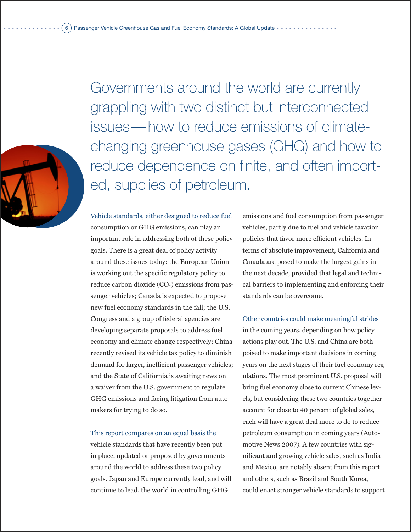

Governments around the world are currently grappling with two distinct but interconnected issues—how to reduce emissions of climatechanging greenhouse gases (GHG) and how to reduce dependence on finite, and often imported, supplies of petroleum.

Vehicle standards, either designed to reduce fuel consumption or GHG emissions, can play an important role in addressing both of these policy goals. There is a great deal of policy activity around these issues today: the European Union is working out the specific regulatory policy to reduce carbon dioxide  $(CO<sub>2</sub>)$  emissions from passenger vehicles; Canada is expected to propose new fuel economy standards in the fall; the U.S. Congress and a group of federal agencies are developing separate proposals to address fuel economy and climate change respectively; China recently revised its vehicle tax policy to diminish demand for larger, inefficient passenger vehicles; and the State of California is awaiting news on a waiver from the U.S. government to regulate GHG emissions and facing litigation from automakers for trying to do so.

### This report compares on an equal basis the

vehicle standards that have recently been put in place, updated or proposed by governments around the world to address these two policy goals. Japan and Europe currently lead, and will continue to lead, the world in controlling GHG

emissions and fuel consumption from passenger vehicles, partly due to fuel and vehicle taxation policies that favor more efficient vehicles. In terms of absolute improvement, California and Canada are posed to make the largest gains in the next decade, provided that legal and technical barriers to implementing and enforcing their standards can be overcome.

Other countries could make meaningful strides in the coming years, depending on how policy actions play out. The U.S. and China are both poised to make important decisions in coming years on the next stages of their fuel economy regulations. The most prominent U.S. proposal will bring fuel economy close to current Chinese levels, but considering these two countries together account for close to 40 percent of global sales, each will have a great deal more to do to reduce petroleum consumption in coming years (Automotive News 2007). A few countries with significant and growing vehicle sales, such as India and Mexico, are notably absent from this report and others, such as Brazil and South Korea, could enact stronger vehicle standards to support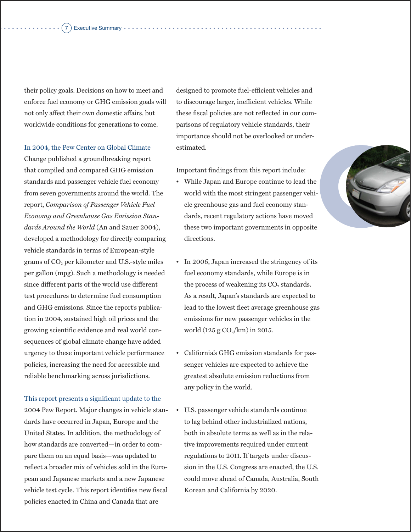#### ) Executive Summary •

their policy goals. Decisions on how to meet and enforce fuel economy or GHG emission goals will not only affect their own domestic affairs, but worldwide conditions for generations to come.

In 2004, the Pew Center on Global Climate Change published a groundbreaking report that compiled and compared GHG emission standards and passenger vehicle fuel economy from seven governments around the world. The report, *Comparison of Passenger Vehicle Fuel Economy and Greenhouse Gas Emission Standards Around the World* (An and Sauer 2004), developed a methodology for directly comparing vehicle standards in terms of European-style grams of CO<sub>2</sub> per kilometer and U.S.-style miles per gallon (mpg). Such a methodology is needed since different parts of the world use different test procedures to determine fuel consumption and GHG emissions. Since the report's publication in 2004, sustained high oil prices and the growing scientific evidence and real world consequences of global climate change have added urgency to these important vehicle performance policies, increasing the need for accessible and reliable benchmarking across jurisdictions.

This report presents a significant update to the 2004 Pew Report. Major changes in vehicle standards have occurred in Japan, Europe and the United States. In addition, the methodology of how standards are converted—in order to compare them on an equal basis—was updated to reflect a broader mix of vehicles sold in the European and Japanese markets and a new Japanese vehicle test cycle. This report identifies new fiscal policies enacted in China and Canada that are

designed to promote fuel-efficient vehicles and to discourage larger, inefficient vehicles. While these fiscal policies are not reflected in our comparisons of regulatory vehicle standards, their importance should not be overlooked or underestimated.

Important findings from this report include:

- While Japan and Europe continue to lead the world with the most stringent passenger vehicle greenhouse gas and fuel economy standards, recent regulatory actions have moved these two important governments in opposite directions.
- In 2006, Japan increased the stringency of its fuel economy standards, while Europe is in the process of weakening its  $CO<sub>2</sub>$  standards. As a result, Japan's standards are expected to lead to the lowest fleet average greenhouse gas emissions for new passenger vehicles in the world (125 g  $CO<sub>2</sub>/km$ ) in 2015.
- California's GHG emission standards for passenger vehicles are expected to achieve the greatest absolute emission reductions from any policy in the world.
- U.S. passenger vehicle standards continue to lag behind other industrialized nations, both in absolute terms as well as in the relative improvements required under current regulations to 2011. If targets under discussion in the U.S. Congress are enacted, the U.S. could move ahead of Canada, Australia, South Korean and California by 2020.

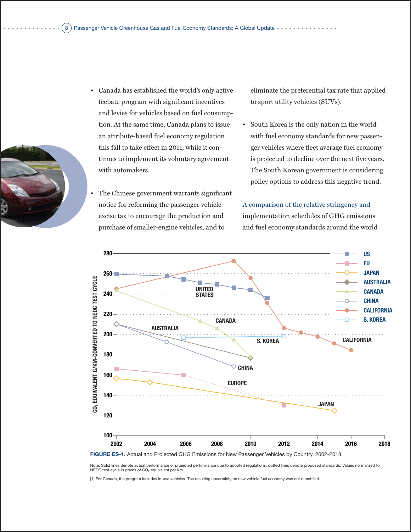

- Canada has established the world's only active feebate program with significant incentives and levies for vehicles based on fuel consumption. At the same time, Canada plans to issue an attribute-based fuel economy regulation this fall to take effect in 2011, while it continues to implement its voluntary agreement with automakers.
- The Chinese government warrants significant notice for reforming the passenger vehicle excise tax to encourage the production and purchase of smaller-engine vehicles, and to

eliminate the preferential tax rate that applied to sport utility vehicles (SUVs).

• South Korea is the only nation in the world with fuel economy standards for new passenger vehicles where fleet average fuel economy is projected to decline over the next five years. The South Korean government is considering policy options to address this negative trend.

A comparison of the relative stringency and implementation schedules of GHG emissions and fuel economy standards around the world



Note: Solid lines denote actual performance or projected performance due to adopted regulations; dotted lines denote proposed standards; Values normalized to<br>NEDC test cycle in grams of CO<sub>2</sub>-equivalent per km.

[1] For Canada, the program includes in-use vehicles. The resulting uncertainty on new vehicle fuel economy was not quantified.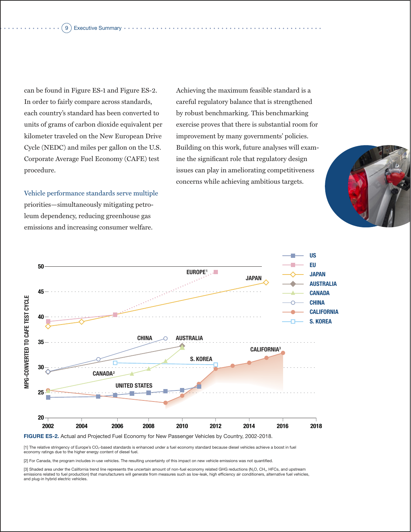#### 9) Executive Summary •

can be found in Figure ES-1 and Figure ES-2. In order to fairly compare across standards, each country's standard has been converted to units of grams of carbon dioxide equivalent per kilometer traveled on the New European Drive Cycle (NEDC) and miles per gallon on the U.S. Corporate Average Fuel Economy (CAFE) test procedure.

Vehicle performance standards serve multiple priorities—simultaneously mitigating petroleum dependency, reducing greenhouse gas emissions and increasing consumer welfare.

Achieving the maximum feasible standard is a careful regulatory balance that is strengthened by robust benchmarking. This benchmarking exercise proves that there is substantial room for improvement by many governments' policies. Building on this work, future analyses will examine the significant role that regulatory design issues can play in ameliorating competitiveness concerns while achieving ambitious targets.





**FIGURE ES-2.** Actual and Projected Fuel Economy for New Passenger Vehicles by Country, 2002-2018.

[1] The relative stringency of Europe's CO2-based standards is enhanced under a fuel economy standard because diesel vehicles achieve a boost in fuel economy ratings due to the higher energy content of diesel fuel.

[2] For Canada, the program includes in-use vehicles. The resulting uncertainty of this impact on new vehicle emissions was not quantified.

[3] Shaded area under the California trend line represents the uncertain amount of non-fuel economy related GHG reductions (N2O, CH4, HFCs, and upstream emissions related to fuel production) that manufacturers will generate from measures such as low-leak, high efficiency air conditioners, alternative fuel vehicles, and plug-in hybrid electric vehicles.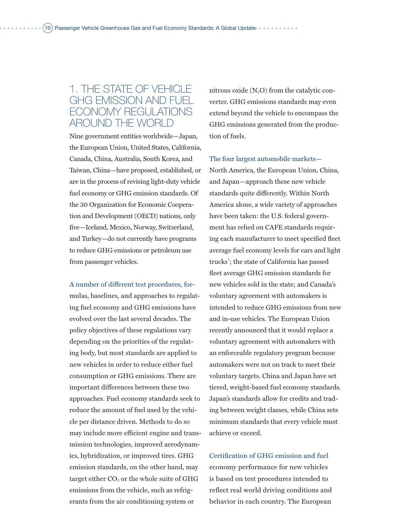# 1. The State of Vehicle GHG Emission and Fuel Economy Regulations Around the World

Nine government entities worldwide—Japan, the European Union, United States, California, Canada, China, Australia, South Korea, and Taiwan, China—have proposed, established, or are in the process of revising light-duty vehicle fuel economy or GHG emission standards. Of the 30 Organization for Economic Cooperation and Development (OECD) nations, only five—Iceland, Mexico, Norway, Switzerland, and Turkey—do not currently have programs to reduce GHG emissions or petroleum use from passenger vehicles.

A number of different test procedures, formulas, baselines, and approaches to regulating fuel economy and GHG emissions have evolved over the last several decades. The policy objectives of these regulations vary depending on the priorities of the regulating body, but most standards are applied to new vehicles in order to reduce either fuel consumption or GHG emissions. There are important differences between these two approaches. Fuel economy standards seek to reduce the amount of fuel used by the vehicle per distance driven. Methods to do so may include more efficient engine and transmission technologies, improved aerodynamics, hybridization, or improved tires. GHG emission standards, on the other hand, may target either  $CO<sub>2</sub>$  or the whole suite of GHG emissions from the vehicle, such as refrigerants from the air conditioning system or

nitrous oxide  $(N_2O)$  from the catalytic converter. GHG emissions standards may even extend beyond the vehicle to encompass the GHG emissions generated from the production of fuels.

The four largest automobile markets— North America, the European Union, China, and Japan—approach these new vehicle standards quite differently. Within North America alone, a wide variety of approaches have been taken: the U.S. federal government has relied on CAFE standards requiring each manufacturer to meet specified fleet average fuel economy levels for cars and light trucks<sup>1</sup>; the state of California has passed fleet average GHG emission standards for new vehicles sold in the state; and Canada's voluntary agreement with automakers is intended to reduce GHG emissions from new and in-use vehicles. The European Union recently announced that it would replace a voluntary agreement with automakers with an enforceable regulatory program because automakers were not on track to meet their voluntary targets. China and Japan have set tiered, weight-based fuel economy standards. Japan's standards allow for credits and trading between weight classes, while China sets minimum standards that every vehicle must achieve or exceed.

Certification of GHG emission and fuel economy performance for new vehicles is based on test procedures intended to reflect real world driving conditions and behavior in each country. The European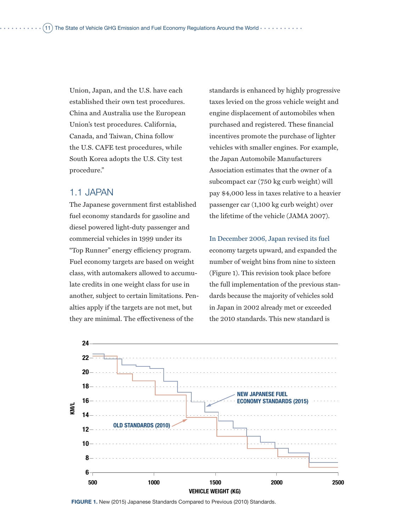Union, Japan, and the U.S. have each established their own test procedures. China and Australia use the European Union's test procedures. California, Canada, and Taiwan, China follow the U.S. CAFE test procedures, while South Korea adopts the U.S. City test procedure."

### 1.1 Japan

The Japanese government first established fuel economy standards for gasoline and diesel powered light-duty passenger and commercial vehicles in 1999 under its "Top Runner" energy efficiency program. Fuel economy targets are based on weight class, with automakers allowed to accumulate credits in one weight class for use in another, subject to certain limitations. Penalties apply if the targets are not met, but they are minimal. The effectiveness of the

standards is enhanced by highly progressive taxes levied on the gross vehicle weight and engine displacement of automobiles when purchased and registered. These financial incentives promote the purchase of lighter vehicles with smaller engines. For example, the Japan Automobile Manufacturers Association estimates that the owner of a subcompact car (750 kg curb weight) will pay \$4,000 less in taxes relative to a heavier passenger car (1,100 kg curb weight) over the lifetime of the vehicle (JAMA 2007).

In December 2006, Japan revised its fuel economy targets upward, and expanded the number of weight bins from nine to sixteen (Figure 1). This revision took place before the full implementation of the previous standards because the majority of vehicles sold in Japan in 2002 already met or exceeded the 2010 standards. This new standard is



**FIGURE 1.** New (2015) Japanese Standards Compared to Previous (2010) Standards.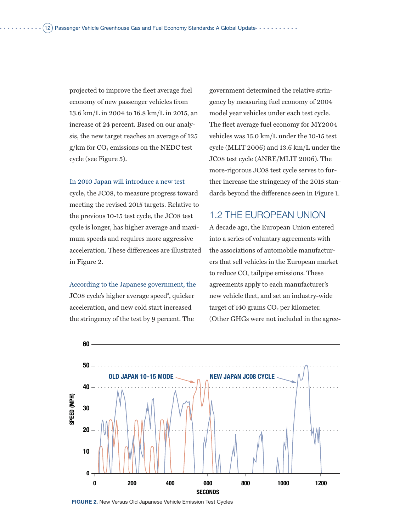projected to improve the fleet average fuel economy of new passenger vehicles from 13.6 km/L in 2004 to 16.8 km/L in 2015, an increase of 24 percent. Based on our analysis, the new target reaches an average of 125  $g/km$  for  $CO<sub>2</sub>$  emissions on the NEDC test cycle (see Figure 5).

### In 2010 Japan will introduce a new test

cycle, the JC08, to measure progress toward meeting the revised 2015 targets. Relative to the previous 10-15 test cycle, the JC08 test cycle is longer, has higher average and maximum speeds and requires more aggressive acceleration. These differences are illustrated in Figure 2.

According to the Japanese government, the

JC08 cycle's higher average speed<sup>2</sup>, quicker acceleration, and new cold start increased the stringency of the test by 9 percent. The

government determined the relative stringency by measuring fuel economy of 2004 model year vehicles under each test cycle. The fleet average fuel economy for MY2004 vehicles was 15.0 km/L under the 10-15 test cycle (MLIT 2006) and 13.6 km/L under the JC08 test cycle (ANRE/MLIT 2006). The more-rigorous JC08 test cycle serves to further increase the stringency of the 2015 standards beyond the difference seen in Figure 1.

## 1.2 The European Union

A decade ago, the European Union entered into a series of voluntary agreements with the associations of automobile manufacturers that sell vehicles in the European market to reduce  $CO<sub>2</sub>$  tailpipe emissions. These agreements apply to each manufacturer's new vehicle fleet, and set an industry-wide target of 140 grams  $CO<sub>2</sub>$  per kilometer. (Other GHGs were not included in the agree-



**FIGURE 2.** New Versus Old Japanese Vehicle Emission Test Cycles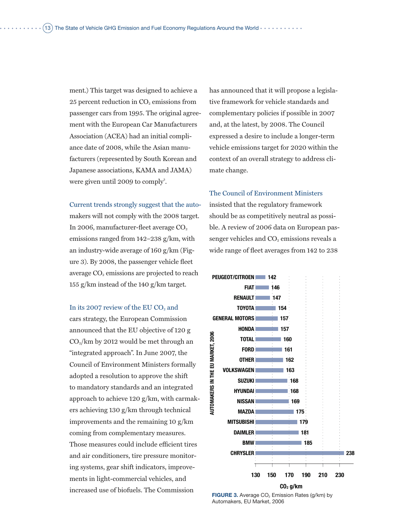ment.) This target was designed to achieve a 25 percent reduction in  $CO<sub>2</sub>$  emissions from passenger cars from 1995. The original agreement with the European Car Manufacturers Association (ACEA) had an initial compliance date of 2008, while the Asian manufacturers (represented by South Korean and Japanese associations, KAMA and JAMA) were given until  $2009$  to comply<sup>3</sup>.

### Current trends strongly suggest that the auto-

makers will not comply with the 2008 target. In 2006, manufacturer-fleet average  $CO<sub>2</sub>$ emissions ranged from 142–238 g/km, with an industry-wide average of 160 g/km (Figure 3). By 2008, the passenger vehicle fleet average  $CO<sub>2</sub>$  emissions are projected to reach 155 g/km instead of the 140 g/km target.

### In its 2007 review of the EU  $CO<sub>2</sub>$  and

cars strategy, the European Commission announced that the EU objective of 120 g  $CO<sub>2</sub>/km$  by 2012 would be met through an "integrated approach". In June 2007, the Council of Environment Ministers formally adopted a resolution to approve the shift to mandatory standards and an integrated approach to achieve 120 g/km, with carmakers achieving 130 g/km through technical improvements and the remaining 10 g/km coming from complementary measures. Those measures could include efficient tires and air conditioners, tire pressure monitoring systems, gear shift indicators, improvements in light-commercial vehicles, and increased use of biofuels. The Commission

has announced that it will propose a legislative framework for vehicle standards and complementary policies if possible in 2007 and, at the latest, by 2008. The Council expressed a desire to include a longer-term vehicle emissions target for 2020 within the context of an overall strategy to address climate change.

### The Council of Environment Ministers

insisted that the regulatory framework should be as competitively neutral as possible. A review of 2006 data on European passenger vehicles and  $CO<sub>2</sub>$  emissions reveals a wide range of fleet averages from 142 to 238



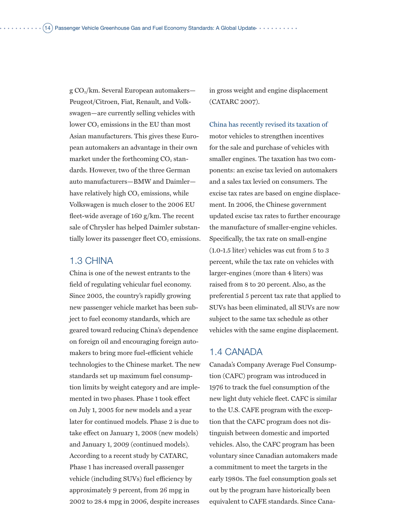$g \text{CO}_2$ /km. Several European automakers— Peugeot/Citroen, Fiat, Renault, and Volkswagen—are currently selling vehicles with lower  $CO<sub>2</sub>$  emissions in the EU than most Asian manufacturers. This gives these European automakers an advantage in their own market under the forthcoming  $CO<sub>2</sub>$  standards. However, two of the three German auto manufacturers—BMW and Daimler have relatively high CO<sub>2</sub> emissions, while Volkswagen is much closer to the 2006 EU fleet-wide average of 160 g/km. The recent sale of Chrysler has helped Daimler substantially lower its passenger fleet  $CO<sub>2</sub>$  emissions.

### 1.3 China

China is one of the newest entrants to the field of regulating vehicular fuel economy. Since 2005, the country's rapidly growing new passenger vehicle market has been subject to fuel economy standards, which are geared toward reducing China's dependence on foreign oil and encouraging foreign automakers to bring more fuel-efficient vehicle technologies to the Chinese market. The new standards set up maximum fuel consumption limits by weight category and are implemented in two phases. Phase 1 took effect on July 1, 2005 for new models and a year later for continued models. Phase 2 is due to take effect on January 1, 2008 (new models) and January 1, 2009 (continued models). According to a recent study by CATARC, Phase 1 has increased overall passenger vehicle (including SUVs) fuel efficiency by approximately 9 percent, from 26 mpg in 2002 to 28.4 mpg in 2006, despite increases

in gross weight and engine displacement (CATARC 2007).

China has recently revised its taxation of motor vehicles to strengthen incentives for the sale and purchase of vehicles with smaller engines. The taxation has two components: an excise tax levied on automakers and a sales tax levied on consumers. The excise tax rates are based on engine displacement. In 2006, the Chinese government updated excise tax rates to further encourage the manufacture of smaller-engine vehicles. Specifically, the tax rate on small-engine (1.0-1.5 liter) vehicles was cut from 5 to 3 percent, while the tax rate on vehicles with larger-engines (more than 4 liters) was raised from 8 to 20 percent. Also, as the preferential 5 percent tax rate that applied to SUVs has been eliminated, all SUVs are now subject to the same tax schedule as other vehicles with the same engine displacement.

### 1.4 CANADA

Canada's Company Average Fuel Consumption (CAFC) program was introduced in 1976 to track the fuel consumption of the new light duty vehicle fleet. CAFC is similar to the U.S. CAFE program with the exception that the CAFC program does not distinguish between domestic and imported vehicles. Also, the CAFC program has been voluntary since Canadian automakers made a commitment to meet the targets in the early 1980s. The fuel consumption goals set out by the program have historically been equivalent to CAFE standards. Since Cana-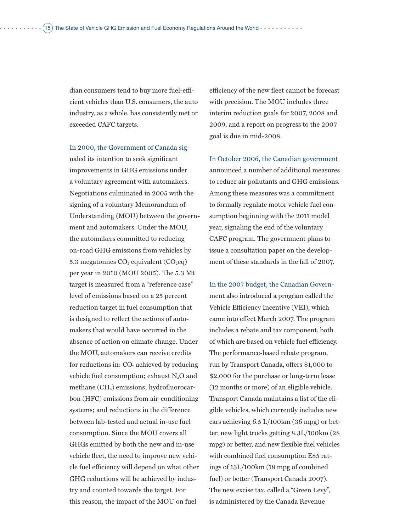dian consumers tend to buy more fuel-efficient vehicles than U.S. consumers, the auto industry, as a whole, has consistently met or exceeded CAFC targets.

In 2000, the Government of Canada signaled its intention to seek significant improvements in GHG emissions under a voluntary agreement with automakers. Negotiations culminated in 2005 with the signing of a voluntary Memorandum of Understanding (MOU) between the government and automakers. Under the MOU, the automakers committed to reducing on-road GHG emissions from vehicles by 5.3 megatonnes  $CO<sub>2</sub>$  equivalent  $(CO<sub>2</sub>eq)$ per year in 2010 (MOU 2005). The 5.3 Mt target is measured from a "reference case" level of emissions based on a 25 percent reduction target in fuel consumption that is designed to reflect the actions of automakers that would have occurred in the absence of action on climate change. Under the MOU, automakers can receive credits for reductions in:  $CO<sub>2</sub>$  achieved by reducing vehicle fuel consumption; exhaust  $N_2O$  and methane (CH4) emissions; hydrofluorocarbon (HFC) emissions from air-conditioning systems; and reductions in the difference between lab-tested and actual in-use fuel consumption. Since the MOU covers all GHGs emitted by both the new and in-use vehicle fleet, the need to improve new vehicle fuel efficiency will depend on what other GHG reductions will be achieved by industry and counted towards the target. For this reason, the impact of the MOU on fuel

efficiency of the new fleet cannot be forecast with precision. The MOU includes three interim reduction goals for 2007, 2008 and 2009, and a report on progress to the 2007 goal is due in mid-2008.

In October 2006, the Canadian government announced a number of additional measures to reduce air pollutants and GHG emissions. Among these measures was a commitment to formally regulate motor vehicle fuel consumption beginning with the 2011 model year, signaling the end of the voluntary CAFC program. The government plans to issue a consultation paper on the development of these standards in the fall of 2007.

In the 2007 budget, the Canadian Government also introduced a program called the Vehicle Efficiency Incentive (VEI), which came into effect March 2007. The program includes a rebate and tax component, both of which are based on vehicle fuel efficiency. The performance-based rebate program, run by Transport Canada, offers \$1,000 to \$2,000 for the purchase or long-term lease (12 months or more) of an eligible vehicle. Transport Canada maintains a list of the eligible vehicles, which currently includes new cars achieving 6.5 L/100km (36 mpg) or better, new light trucks getting 8.3L/100km (28 mpg) or better, and new flexible fuel vehicles with combined fuel consumption E85 ratings of 13L/100km (18 mpg of combined fuel) or better (Transport Canada 2007). The new excise tax, called a "Green Levy", is administered by the Canada Revenue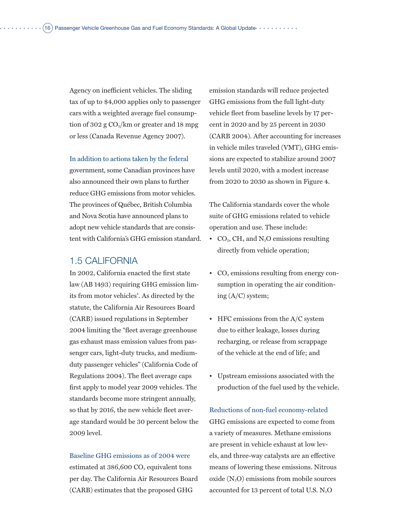Agency on inefficient vehicles. The sliding tax of up to \$4,000 applies only to passenger cars with a weighted average fuel consumption of 302 g  $CO<sub>2</sub>/km$  or greater and 18 mpg or less (Canada Revenue Agency 2007).

In addition to actions taken by the federal government, some Canadian provinces have also announced their own plans to further reduce GHG emissions from motor vehicles. The provinces of Québec, British Columbia and Nova Scotia have announced plans to adopt new vehicle standards that are consistent with California's GHG emission standard.

### 1.5 California

In 2002, California enacted the first state law (AB 1493) requiring GHG emission limits from motor vehicles<sup>4</sup>. As directed by the statute, the California Air Resources Board (CARB) issued regulations in September 2004 limiting the "fleet average greenhouse gas exhaust mass emission values from passenger cars, light-duty trucks, and mediumduty passenger vehicles" (California Code of Regulations 2004). The fleet average caps first apply to model year 2009 vehicles. The standards become more stringent annually, so that by 2016, the new vehicle fleet average standard would be 30 percent below the 2009 level.

Baseline GHG emissions as of 2004 were estimated at 386,600 CO<sub>2</sub> equivalent tons per day. The California Air Resources Board (CARB) estimates that the proposed GHG

emission standards will reduce projected GHG emissions from the full light-duty vehicle fleet from baseline levels by 17 percent in 2020 and by 25 percent in 2030 (CARB 2004). After accounting for increases in vehicle miles traveled (VMT), GHG emissions are expected to stabilize around 2007 levels until 2020, with a modest increase from 2020 to 2030 as shown in Figure 4.

The California standards cover the whole suite of GHG emissions related to vehicle operation and use. These include:

- $CO<sub>2</sub>$ , CH<sub>4</sub> and N<sub>2</sub>O emissions resulting directly from vehicle operation;
- $CO<sub>2</sub>$  emissions resulting from energy consumption in operating the air conditioning (A/C) system;
- HFC emissions from the A/C system due to either leakage, losses during recharging, or release from scrappage of the vehicle at the end of life; and
- Upstream emissions associated with the production of the fuel used by the vehicle.

Reductions of non-fuel economy-related GHG emissions are expected to come from a variety of measures. Methane emissions are present in vehicle exhaust at low levels, and three-way catalysts are an effective means of lowering these emissions. Nitrous oxide  $(N_2O)$  emissions from mobile sources accounted for 13 percent of total U.S. N<sub>2</sub>O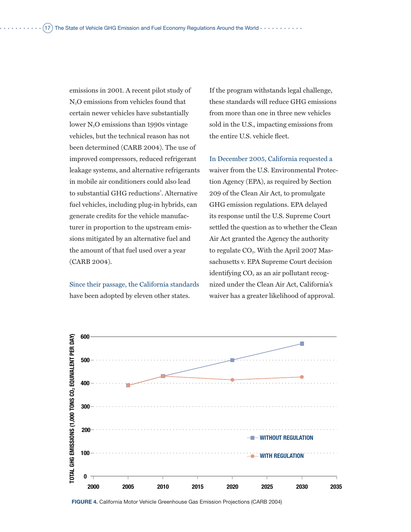emissions in 2001. A recent pilot study of N2O emissions from vehicles found that certain newer vehicles have substantially lower N<sub>2</sub>O emissions than 1990s vintage vehicles, but the technical reason has not been determined (CARB 2004). The use of improved compressors, reduced refrigerant leakage systems, and alternative refrigerants in mobile air conditioners could also lead to substantial GHG reductions<sup>5</sup>. Alternative fuel vehicles, including plug-in hybrids, can generate credits for the vehicle manufacturer in proportion to the upstream emissions mitigated by an alternative fuel and the amount of that fuel used over a year (CARB 2004).

Since their passage, the California standards have been adopted by eleven other states.

If the program withstands legal challenge, these standards will reduce GHG emissions from more than one in three new vehicles sold in the U.S., impacting emissions from the entire U.S. vehicle fleet.

In December 2005, California requested a waiver from the U.S. Environmental Protection Agency (EPA), as required by Section 209 of the Clean Air Act, to promulgate GHG emission regulations. EPA delayed its response until the U.S. Supreme Court settled the question as to whether the Clean Air Act granted the Agency the authority to regulate  $CO<sub>2</sub>$ . With the April 2007 Massachusetts v. EPA Supreme Court decision identifying  $CO<sub>2</sub>$  as an air pollutant recognized under the Clean Air Act, California's waiver has a greater likelihood of approval.



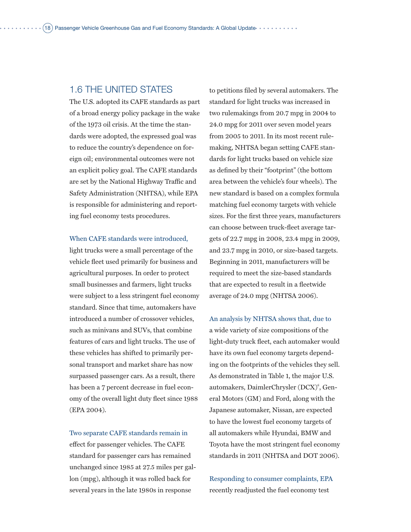## 1.6 The United States

The U.S. adopted its CAFE standards as part of a broad energy policy package in the wake of the 1973 oil crisis. At the time the standards were adopted, the expressed goal was to reduce the country's dependence on foreign oil; environmental outcomes were not an explicit policy goal. The CAFE standards are set by the National Highway Traffic and Safety Administration (NHTSA), while EPA is responsible for administering and reporting fuel economy tests procedures.

When CAFE standards were introduced,

light trucks were a small percentage of the vehicle fleet used primarily for business and agricultural purposes. In order to protect small businesses and farmers, light trucks were subject to a less stringent fuel economy standard. Since that time, automakers have introduced a number of crossover vehicles, such as minivans and SUVs, that combine features of cars and light trucks. The use of these vehicles has shifted to primarily personal transport and market share has now surpassed passenger cars. As a result, there has been a 7 percent decrease in fuel economy of the overall light duty fleet since 1988 (EPA 2004).

Two separate CAFE standards remain in effect for passenger vehicles. The CAFE standard for passenger cars has remained unchanged since 1985 at 27.5 miles per gallon (mpg), although it was rolled back for several years in the late 1980s in response

to petitions filed by several automakers. The standard for light trucks was increased in two rulemakings from 20.7 mpg in 2004 to 24.0 mpg for 2011 over seven model years from 2005 to 2011. In its most recent rulemaking, NHTSA began setting CAFE standards for light trucks based on vehicle size as defined by their "footprint" (the bottom area between the vehicle's four wheels). The new standard is based on a complex formula matching fuel economy targets with vehicle sizes. For the first three years, manufacturers can choose between truck-fleet average targets of 22.7 mpg in 2008, 23.4 mpg in 2009, and 23.7 mpg in 2010, or size-based targets. Beginning in 2011, manufacturers will be required to meet the size-based standards that are expected to result in a fleetwide average of 24.0 mpg (NHTSA 2006).

An analysis by NHTSA shows that, due to a wide variety of size compositions of the light-duty truck fleet, each automaker would have its own fuel economy targets depending on the footprints of the vehicles they sell. As demonstrated in Table 1, the major U.S. automakers, DaimlerChrysler (DCX)<sup>6</sup>, General Motors (GM) and Ford, along with the Japanese automaker, Nissan, are expected to have the lowest fuel economy targets of all automakers while Hyundai, BMW and Toyota have the most stringent fuel economy standards in 2011 (NHTSA and DOT 2006).

Responding to consumer complaints, EPA recently readjusted the fuel economy test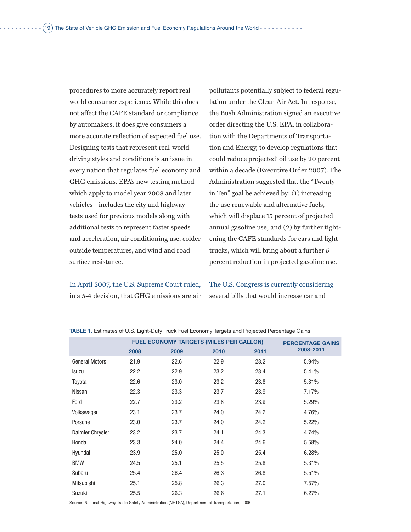procedures to more accurately report real world consumer experience. While this does not affect the CAFE standard or compliance by automakers, it does give consumers a more accurate reflection of expected fuel use. Designing tests that represent real-world driving styles and conditions is an issue in every nation that regulates fuel economy and GHG emissions. EPA's new testing method which apply to model year 2008 and later vehicles—includes the city and highway tests used for previous models along with additional tests to represent faster speeds and acceleration, air conditioning use, colder outside temperatures, and wind and road surface resistance.

In April 2007, the U.S. Supreme Court ruled, in a 5-4 decision, that GHG emissions are air

pollutants potentially subject to federal regulation under the Clean Air Act. In response, the Bush Administration signed an executive order directing the U.S. EPA, in collaboration with the Departments of Transportation and Energy, to develop regulations that could reduce projected<sup>7</sup> oil use by 20 percent within a decade (Executive Order 2007). The Administration suggested that the "Twenty in Ten" goal be achieved by: (1) increasing the use renewable and alternative fuels, which will displace 15 percent of projected annual gasoline use; and (2) by further tightening the CAFE standards for cars and light trucks, which will bring about a further 5 percent reduction in projected gasoline use.

The U.S. Congress is currently considering several bills that would increase car and

|                       |      | <b>FUEL ECONOMY TARGETS (MILES PER GALLON)</b> | <b>PERCENTAGE GAINS</b> |      |           |
|-----------------------|------|------------------------------------------------|-------------------------|------|-----------|
|                       | 2008 | 2009                                           | 2010                    | 2011 | 2008-2011 |
| <b>General Motors</b> | 21.9 | 22.6                                           | 22.9                    | 23.2 | 5.94%     |
| <b>Isuzu</b>          | 22.2 | 22.9                                           | 23.2                    | 23.4 | 5.41%     |
| Toyota                | 22.6 | 23.0                                           | 23.2                    | 23.8 | 5.31%     |
| Nissan                | 22.3 | 23.3                                           | 23.7                    | 23.9 | 7.17%     |
| Ford                  | 22.7 | 23.2                                           | 23.8                    | 23.9 | 5.29%     |
| Volkswagen            | 23.1 | 23.7                                           | 24.0                    | 24.2 | 4.76%     |
| Porsche               | 23.0 | 23.7                                           | 24.0                    | 24.2 | 5.22%     |
| Daimler Chrysler      | 23.2 | 23.7                                           | 24.1                    | 24.3 | 4.74%     |
| Honda                 | 23.3 | 24.0                                           | 24.4                    | 24.6 | 5.58%     |
| Hyundai               | 23.9 | 25.0                                           | 25.0                    | 25.4 | 6.28%     |
| <b>BMW</b>            | 24.5 | 25.1                                           | 25.5                    | 25.8 | 5.31%     |
| Subaru                | 25.4 | 26.4                                           | 26.3                    | 26.8 | 5.51%     |
| Mitsubishi            | 25.1 | 25.8                                           | 26.3                    | 27.0 | 7.57%     |
| Suzuki                | 25.5 | 26.3                                           | 26.6                    | 27.1 | 6.27%     |

**TABLE 1.** Estimates of U.S. Light-Duty Truck Fuel Economy Targets and Projected Percentage Gains

Source: National Highway Traffic Safety Administration (NHTSA), Department of Transportation, 2006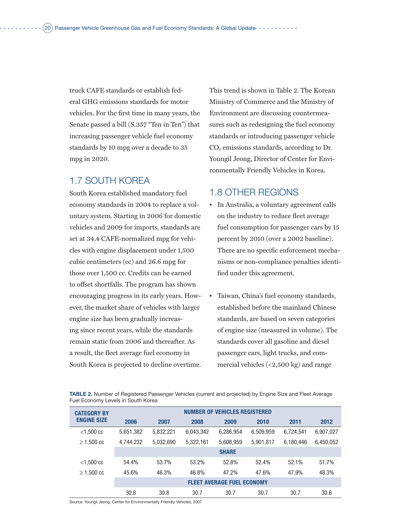truck CAFE standards or establish federal GHG emissions standards for motor vehicles. For the first time in many years, the Senate passed a bill (S.357 "Ten in Ten") that increasing passenger vehicle fuel economy standards by 10 mpg over a decade to 35 mpg in 2020.

# 1.7 South Korea

South Korea established mandatory fuel economy standards in 2004 to replace a voluntary system. Starting in 2006 for domestic vehicles and 2009 for imports, standards are set at 34.4 CAFE-normalized mpg for vehicles with engine displacement under 1,500 cubic centimeters (cc) and 26.6 mpg for those over 1,500 cc. Credits can be earned to offset shortfalls. The program has shown encouraging progress in its early years. However, the market share of vehicles with larger engine size has been gradually increasing since recent years, while the standards remain static from 2006 and thereafter. As a result, the fleet average fuel economy in South Korea is projected to decline overtime.

This trend is shown in Table 2. The Korean Ministry of Commerce and the Ministry of Environment are discussing countermeasures such as redesigning the fuel economy standards or introducing passenger vehicle CO2 emissions standards, according to Dr. Youngil Jeong, Director of Center for Environmentally Friendly Vehicles in Korea.

### 1.8 Other Regions

- In Australia, a voluntary agreement calls on the industry to reduce fleet average fuel consumption for passenger cars by 15 percent by 2010 (over a 2002 baseline). There are no specific enforcement mechanisms or non-compliance penalties identified under this agreement.
- Taiwan, China's fuel economy standards, established before the mainland Chinese standards, are based on seven categories of engine size (measured in volume). The standards cover all gasoline and diesel passenger cars, light trucks, and commercial vehicles (<2,500 kg) and range

**Table 2.** Number of Registered Passenger Vehicles (current and projected) by Engine Size and Fleet Average Fuel Economy Levels in South Korea

| <b>CATEGORY BY</b> | <b>NUMBER OF VEHICLES REGISTERED</b> |           |           |              |           |           |           |
|--------------------|--------------------------------------|-----------|-----------|--------------|-----------|-----------|-----------|
| <b>ENGINE SIZE</b> | 2006                                 | 2007      | 2008      | 2009         | 2010      | 2011      | 2012      |
| $<$ 1.500 cc       | 5,651,382                            | 5,832,221 | 6,043,342 | 6,286,954    | 6,509,959 | 6,724,541 | 6,907,027 |
| $\geq 1,500$ cc    | 4,744,232                            | 5,032,690 | 5,322,161 | 5,608,959    | 5,901,817 | 6,180,446 | 6,450,052 |
|                    |                                      |           |           | <b>SHARE</b> |           |           |           |
| $<$ 1,500 cc       | 54.4%                                | 53.7%     | 53.2%     | 52.8%        | 52.4%     | 52.1%     | 51.7%     |
| $\geq 1,500$ cc    | 45.6%                                | 46.3%     | 46.8%     | 47.2%        | 47.6%     | 47.9%     | 48.3%     |
|                    | <b>FLEET AVERAGE FUEL ECONOMY</b>    |           |           |              |           |           |           |
|                    | 30.8                                 | 30.8      | 30.7      | 30.7         | 30.7      | 30.7      | 30.6      |

Source: Youngil Jeong, Center for Environmentally Friendly Vehicles, 2007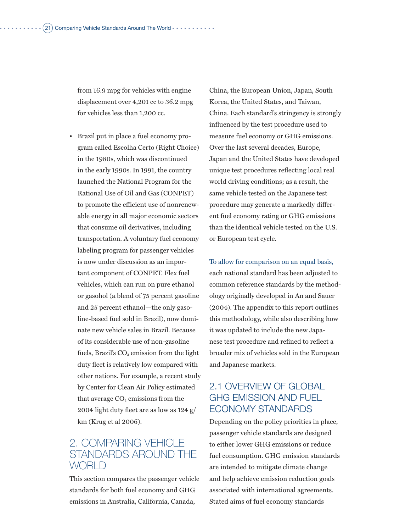from 16.9 mpg for vehicles with engine displacement over 4,201 cc to 36.2 mpg for vehicles less than 1,200 cc.

• Brazil put in place a fuel economy program called Escolha Certo (Right Choice) in the 1980s, which was discontinued in the early 1990s. In 1991, the country launched the National Program for the Rational Use of Oil and Gas (CONPET) to promote the efficient use of nonrenewable energy in all major economic sectors that consume oil derivatives, including transportation. A voluntary fuel economy labeling program for passenger vehicles is now under discussion as an important component of CONPET. Flex fuel vehicles, which can run on pure ethanol or gasohol (a blend of 75 percent gasoline and 25 percent ethanol—the only gasoline-based fuel sold in Brazil), now dominate new vehicle sales in Brazil. Because of its considerable use of non-gasoline fuels, Brazil's  $CO<sub>2</sub>$  emission from the light duty fleet is relatively low compared with other nations. For example, a recent study by Center for Clean Air Policy estimated that average CO<sub>2</sub> emissions from the 2004 light duty fleet are as low as 124 g/ km (Krug et al 2006).

# 2. Comparing Vehicle Standards Around the WORI D

This section compares the passenger vehicle standards for both fuel economy and GHG emissions in Australia, California, Canada,

China, the European Union, Japan, South Korea, the United States, and Taiwan, China. Each standard's stringency is strongly influenced by the test procedure used to measure fuel economy or GHG emissions. Over the last several decades, Europe, Japan and the United States have developed unique test procedures reflecting local real world driving conditions; as a result, the same vehicle tested on the Japanese test procedure may generate a markedly different fuel economy rating or GHG emissions than the identical vehicle tested on the U.S. or European test cycle.

To allow for comparison on an equal basis, each national standard has been adjusted to common reference standards by the methodology originally developed in An and Sauer (2004). The appendix to this report outlines this methodology, while also describing how it was updated to include the new Japanese test procedure and refined to reflect a broader mix of vehicles sold in the European and Japanese markets.

# 2.1 OVERVIEW OF GLOBAL GHG Emission and Fuel Economy Standards

Depending on the policy priorities in place, passenger vehicle standards are designed to either lower GHG emissions or reduce fuel consumption. GHG emission standards are intended to mitigate climate change and help achieve emission reduction goals associated with international agreements. Stated aims of fuel economy standards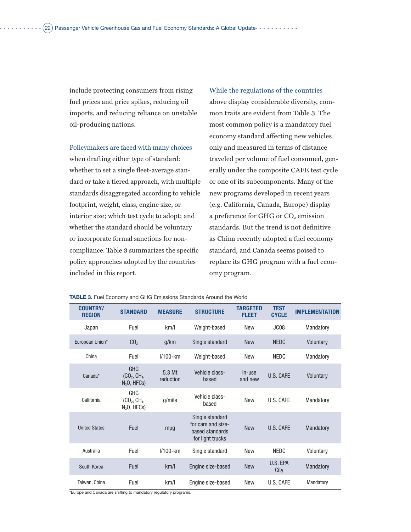include protecting consumers from rising fuel prices and price spikes, reducing oil imports, and reducing reliance on unstable oil-producing nations.

Policymakers are faced with many choices when drafting either type of standard: whether to set a single fleet-average standard or take a tiered approach, with multiple standards disaggregated according to vehicle footprint, weight, class, engine size, or interior size; which test cycle to adopt; and whether the standard should be voluntary or incorporate formal sanctions for noncompliance. Table 3 summarizes the specific policy approaches adopted by the countries included in this report.

#### While the regulations of the countries

above display considerable diversity, common traits are evident from Table 3. The most common policy is a mandatory fuel economy standard affecting new vehicles only and measured in terms of distance traveled per volume of fuel consumed, generally under the composite CAFE test cycle or one of its subcomponents. Many of the new programs developed in recent years (e.g. California, Canada, Europe) display a preference for GHG or CO<sub>2</sub> emission standards. But the trend is not definitive as China recently adopted a fuel economy standard, and Canada seems poised to replace its GHG program with a fuel economy program.

#### **TABLE 3.** Fuel Economy and GHG Emissions Standards Around the World

| <b>COUNTRY/</b><br><b>REGION</b> | <b>STANDARD</b>                                                     | <b>MEASURE</b>      | <b>STRUCTURE</b>                                                             | <b>TARGETED</b><br><b>FLEET</b> | <b>TEST</b><br><b>CYCLE</b> | <b>IMPLEMENTATION</b> |
|----------------------------------|---------------------------------------------------------------------|---------------------|------------------------------------------------------------------------------|---------------------------------|-----------------------------|-----------------------|
| Japan                            | Fuel                                                                | km/l                | Weight-based                                                                 | <b>New</b>                      | JC <sub>08</sub>            | Mandatory             |
| European Union*                  | CO <sub>2</sub>                                                     | g/km                | Single standard                                                              | <b>New</b>                      | <b>NEDC</b>                 | Voluntary             |
| China                            | Fuel                                                                | $1/100$ -km         | Weight-based                                                                 | <b>New</b>                      | <b>NEDC</b>                 | Mandatory             |
| Canada*                          | <b>GHG</b><br>$(CO_2, CH_4,$<br>$N_2O$ , HFCs)                      | 5.3 Mt<br>reduction | Vehicle class-<br>based                                                      | In-use<br>and new               | U.S. CAFE                   | Voluntary             |
| California                       | <b>GHG</b><br>(CO <sub>2</sub> , CH <sub>4</sub> ,<br>$N2O$ , HFCs) | q/mile              | Vehicle class-<br>based                                                      | <b>New</b>                      | U.S. CAFE                   | Mandatory             |
| <b>United States</b>             | Fuel                                                                | mpg                 | Single standard<br>for cars and size-<br>based standards<br>for light trucks | <b>New</b>                      | U.S. CAFF                   | Mandatory             |
| Australia                        | Fuel                                                                | $1/100$ -km         | Single standard                                                              | <b>New</b>                      | NEDC                        | Voluntary             |
| South Korea                      | Fuel                                                                | km/l                | Engine size-based                                                            | <b>New</b>                      | U.S. EPA<br>City            | Mandatory             |
| Taiwan, China                    | Fuel                                                                | km/l                | Engine size-based                                                            | <b>New</b>                      | U.S. CAFE                   | Mandatory             |

\*Europe and Canada are shifting to mandatory regulatory programs.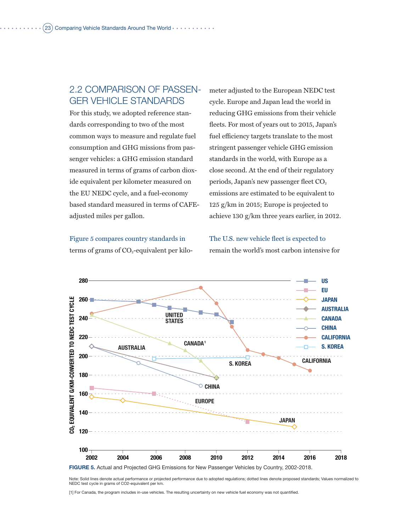# 2.2 Comparison of Passenger Vehicle Standards

For this study, we adopted reference standards corresponding to two of the most common ways to measure and regulate fuel consumption and GHG missions from passenger vehicles: a GHG emission standard measured in terms of grams of carbon dioxide equivalent per kilometer measured on the EU NEDC cycle, and a fuel-economy based standard measured in terms of CAFEadjusted miles per gallon.

meter adjusted to the European NEDC test cycle. Europe and Japan lead the world in reducing GHG emissions from their vehicle fleets. For most of years out to 2015, Japan's fuel efficiency targets translate to the most stringent passenger vehicle GHG emission standards in the world, with Europe as a close second. At the end of their regulatory periods, Japan's new passenger fleet  $CO<sub>2</sub>$ emissions are estimated to be equivalent to 125 g/km in 2015; Europe is projected to achieve 130 g/km three years earlier, in 2012.

Figure 5 compares country standards in terms of grams of  $CO<sub>2</sub>$ -equivalent per kiloThe U.S. new vehicle fleet is expected to remain the world's most carbon intensive for



Note: Solid lines denote actual performance or projected performance due to adopted regulations; dotted lines denote proposed standards; Values normalized to NEDC test cycle in grams of CO2-equivalent per km.

[1] For Canada, the program includes in-use vehicles. The resulting uncertainty on new vehicle fuel economy was not quantified.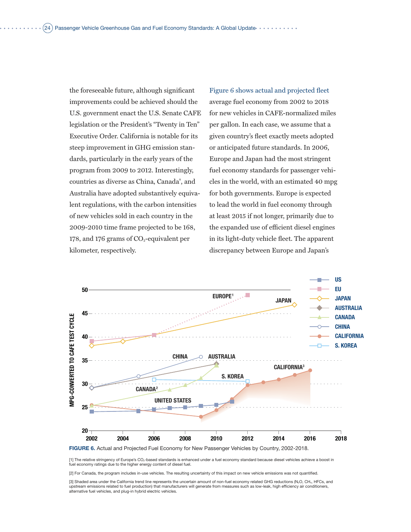the foreseeable future, although significant improvements could be achieved should the U.S. government enact the U.S. Senate CAFE legislation or the President's "Twenty in Ten" Executive Order. California is notable for its steep improvement in GHG emission standards, particularly in the early years of the program from 2009 to 2012. Interestingly, countries as diverse as China, Canada<sup>8</sup>, and Australia have adopted substantively equivalent regulations, with the carbon intensities of new vehicles sold in each country in the 2009-2010 time frame projected to be 168, 178, and 176 grams of  $CO_2$ -equivalent per kilometer, respectively.

Figure 6 shows actual and projected fleet average fuel economy from 2002 to 2018 for new vehicles in CAFE-normalized miles per gallon. In each case, we assume that a given country's fleet exactly meets adopted or anticipated future standards. In 2006, Europe and Japan had the most stringent fuel economy standards for passenger vehicles in the world, with an estimated 40 mpg for both governments. Europe is expected to lead the world in fuel economy through at least 2015 if not longer, primarily due to the expanded use of efficient diesel engines in its light-duty vehicle fleet. The apparent discrepancy between Europe and Japan's



[1] The relative stringency of Europe's CO<sub>2</sub>-based standards is enhanced under a fuel economy standard because diesel vehicles achieve a boost in fuel economy ratings due to the higher energy content of diesel fuel.

[2] For Canada, the program includes in-use vehicles. The resulting uncertainty of this impact on new vehicle emissions was not quantified.

[3] Shaded area under the California trend line represents the uncertain amount of non-fuel economy related GHG reductions (N<sub>2</sub>O, CH<sub>4</sub>, HFCs, and upstream emissions related to fuel production) that manufacturers will generate from measures such as low-leak, high efficiency air conditioners, alternative fuel vehicles, and plug-in hybrid electric vehicles.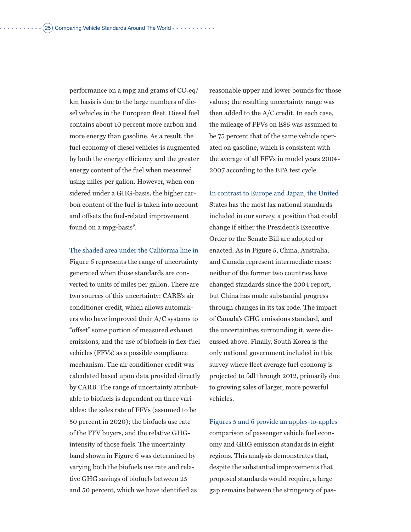performance on a mpg and grams of  $CO<sub>2</sub>eq/$ km basis is due to the large numbers of diesel vehicles in the European fleet. Diesel fuel contains about 10 percent more carbon and more energy than gasoline. As a result, the fuel economy of diesel vehicles is augmented by both the energy efficiency and the greater energy content of the fuel when measured using miles per gallon. However, when considered under a GHG-basis, the higher carbon content of the fuel is taken into account and offsets the fuel-related improvement found on a mpg-basis<sup>9</sup>.

The shaded area under the California line in Figure 6 represents the range of uncertainty generated when those standards are converted to units of miles per gallon. There are two sources of this uncertainty: CARB's air conditioner credit, which allows automakers who have improved their A/C systems to "offset" some portion of measured exhaust emissions, and the use of biofuels in flex-fuel vehicles (FFVs) as a possible compliance mechanism. The air conditioner credit was calculated based upon data provided directly by CARB. The range of uncertainty attributable to biofuels is dependent on three variables: the sales rate of FFVs (assumed to be 50 percent in 2020); the biofuels use rate of the FFV buyers, and the relative GHGintensity of those fuels. The uncertainty band shown in Figure 6 was determined by varying both the biofuels use rate and relative GHG savings of biofuels between 25 and 50 percent, which we have identified as

reasonable upper and lower bounds for those values; the resulting uncertainty range was then added to the A/C credit. In each case, the mileage of FFVs on E85 was assumed to be 75 percent that of the same vehicle operated on gasoline, which is consistent with the average of all FFVs in model years 2004- 2007 according to the EPA test cycle.

In contrast to Europe and Japan, the United States has the most lax national standards included in our survey, a position that could change if either the President's Executive Order or the Senate Bill are adopted or enacted. As in Figure 5, China, Australia, and Canada represent intermediate cases: neither of the former two countries have changed standards since the 2004 report, but China has made substantial progress through changes in its tax code. The impact of Canada's GHG emissions standard, and the uncertainties surrounding it, were discussed above. Finally, South Korea is the only national government included in this survey where fleet average fuel economy is projected to fall through 2012, primarily due to growing sales of larger, more powerful vehicles.

Figures 5 and 6 provide an apples-to-apples comparison of passenger vehicle fuel economy and GHG emission standards in eight regions. This analysis demonstrates that, despite the substantial improvements that proposed standards would require, a large gap remains between the stringency of pas-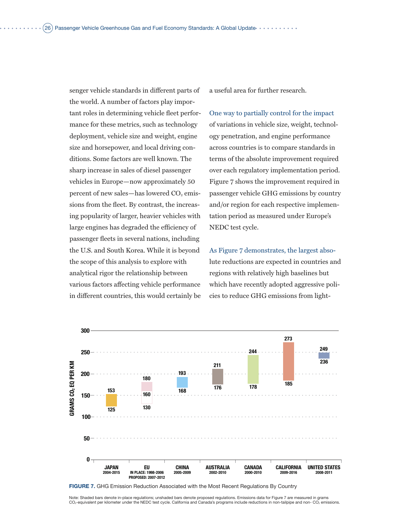senger vehicle standards in different parts of the world. A number of factors play important roles in determining vehicle fleet performance for these metrics, such as technology deployment, vehicle size and weight, engine size and horsepower, and local driving conditions. Some factors are well known. The sharp increase in sales of diesel passenger vehicles in Europe—now approximately 50 percent of new sales—has lowered  $CO<sub>2</sub>$  emissions from the fleet. By contrast, the increasing popularity of larger, heavier vehicles with large engines has degraded the efficiency of passenger fleets in several nations, including the U.S. and South Korea. While it is beyond the scope of this analysis to explore with analytical rigor the relationship between various factors affecting vehicle performance in different countries, this would certainly be a useful area for further research.

One way to partially control for the impact of variations in vehicle size, weight, technology penetration, and engine performance across countries is to compare standards in terms of the absolute improvement required over each regulatory implementation period. Figure 7 shows the improvement required in passenger vehicle GHG emissions by country and/or region for each respective implementation period as measured under Europe's NEDC test cycle.

As Figure 7 demonstrates, the largest absolute reductions are expected in countries and regions with relatively high baselines but which have recently adopted aggressive policies to reduce GHG emissions from light-



**FIGURE 7.** GHG Emission Reduction Associated with the Most Recent Regulations By Country

Note: Shaded bars denote in-place regulations; unshaded bars denote proposed regulations. Emissions data for Figure 7 are measured in grams CO2-equivalent per kilometer under the NEDC test cycle. California and Canada's programs include reductions in non-tailpipe and non- CO2 emissions.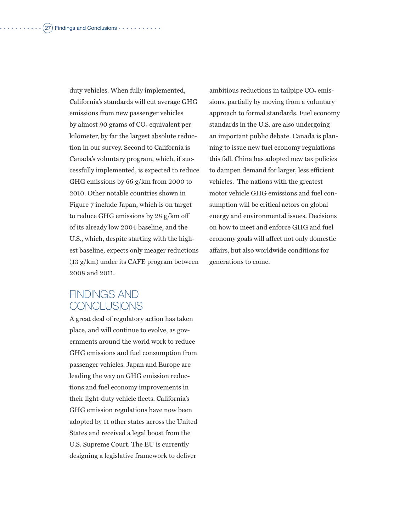duty vehicles. When fully implemented, California's standards will cut average GHG emissions from new passenger vehicles by almost 90 grams of  $CO<sub>2</sub>$  equivalent per kilometer, by far the largest absolute reduction in our survey. Second to California is Canada's voluntary program, which, if successfully implemented, is expected to reduce GHG emissions by 66 g/km from 2000 to 2010. Other notable countries shown in Figure 7 include Japan, which is on target to reduce GHG emissions by 28 g/km off of its already low 2004 baseline, and the U.S., which, despite starting with the highest baseline, expects only meager reductions (13 g/km) under its CAFE program between 2008 and 2011.

ambitious reductions in tailpipe  $CO<sub>2</sub>$  emissions, partially by moving from a voluntary approach to formal standards. Fuel economy standards in the U.S. are also undergoing an important public debate. Canada is planning to issue new fuel economy regulations this fall. China has adopted new tax policies to dampen demand for larger, less efficient vehicles. The nations with the greatest motor vehicle GHG emissions and fuel consumption will be critical actors on global energy and environmental issues. Decisions on how to meet and enforce GHG and fuel economy goals will affect not only domestic affairs, but also worldwide conditions for generations to come.

# Findings and **CONCLUSIONS**

A great deal of regulatory action has taken place, and will continue to evolve, as governments around the world work to reduce GHG emissions and fuel consumption from passenger vehicles. Japan and Europe are leading the way on GHG emission reductions and fuel economy improvements in their light-duty vehicle fleets. California's GHG emission regulations have now been adopted by 11 other states across the United States and received a legal boost from the U.S. Supreme Court. The EU is currently designing a legislative framework to deliver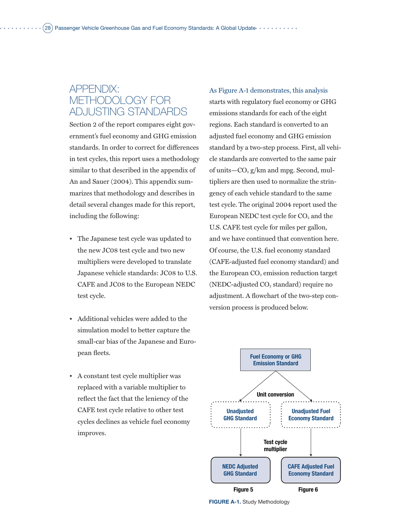# APPENDIX: Methodology for Adjusting Standards

Section 2 of the report compares eight government's fuel economy and GHG emission standards. In order to correct for differences in test cycles, this report uses a methodology similar to that described in the appendix of An and Sauer (2004). This appendix summarizes that methodology and describes in detail several changes made for this report, including the following:

- The Japanese test cycle was updated to the new JC08 test cycle and two new multipliers were developed to translate Japanese vehicle standards: JC08 to U.S. CAFE and JC08 to the European NEDC test cycle.
- Additional vehicles were added to the simulation model to better capture the small-car bias of the Japanese and European fleets.
- A constant test cycle multiplier was replaced with a variable multiplier to reflect the fact that the leniency of the CAFE test cycle relative to other test cycles declines as vehicle fuel economy improves.

As Figure A-1 demonstrates, this analysis starts with regulatory fuel economy or GHG emissions standards for each of the eight regions. Each standard is converted to an adjusted fuel economy and GHG emission standard by a two-step process. First, all vehicle standards are converted to the same pair of units— $CO<sub>2</sub> g/km$  and mpg. Second, multipliers are then used to normalize the stringency of each vehicle standard to the same test cycle. The original 2004 report used the European NEDC test cycle for  $CO<sub>2</sub>$  and the U.S. CAFE test cycle for miles per gallon, and we have continued that convention here. Of course, the U.S. fuel economy standard (CAFE-adjusted fuel economy standard) and the European  $CO<sub>2</sub>$  emission reduction target (NEDC-adjusted CO<sub>2</sub> standard) require no adjustment. A flowchart of the two-step conversion process is produced below.



**FIGURE A-1.** Study Methodology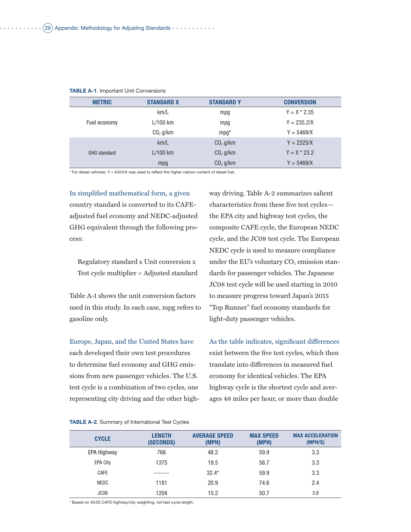| <b>METRIC</b>       | <b>STANDARD X</b> | <b>STANDARD Y</b>    | <b>CONVERSION</b> |
|---------------------|-------------------|----------------------|-------------------|
|                     | km/L              | mpg                  | $Y = X * 2.35$    |
| Fuel economy        | $L/100$ km        | mpg                  | $Y = 235.2/X$     |
|                     | $CO2$ g/km        | $mpq*$               | $Y = 5469/X$      |
|                     | km/L              | CO <sub>2</sub> g/km | $Y = 2325/X$      |
| <b>GHG</b> standard | $L/100$ km        | $CO2$ q/km           | $Y = X * 23.2$    |
|                     | mpg               | CO <sub>2</sub> g/km | $Y = 5469/X$      |

#### **TABLE A-1**. Important Unit Conversions

 $*$  For diesel vehicles, Y = 6424/X was used to reflect the higher carbon content of diesel fuel.

In simplified mathematical form, a given country standard is converted to its CAFEadjusted fuel economy and NEDC-adjusted GHG equivalent through the following process:

Regulatory standard x Unit conversion x Test cycle multiplier = Adjusted standard

Table A-1 shows the unit conversion factors used in this study. In each case, mpg refers to gasoline only.

Europe, Japan, and the United States have each developed their own test procedures to determine fuel economy and GHG emissions from new passenger vehicles. The U.S. test cycle is a combination of two cycles, one representing city driving and the other high-

way driving. Table A-2 summarizes salient characteristics from these five test cycles the EPA city and highway test cycles, the composite CAFE cycle, the European NEDC cycle, and the JC08 test cycle. The European NEDC cycle is used to measure compliance under the EU's voluntary  $CO<sub>2</sub>$  emission standards for passenger vehicles. The Japanese JC08 test cycle will be used starting in 2010 to measure progress toward Japan's 2015 "Top Runner" fuel economy standards for light-duty passenger vehicles.

As the table indicates, significant differences exist between the five test cycles, which then translate into differences in measured fuel economy for identical vehicles. The EPA highway cycle is the shortest cycle and averages 48 miles per hour, or more than double

#### **TABLE A-2**. Summary of International Test Cycles

| <b>CYCLE</b>       | <b>LENGTH</b><br>(SECONDS) | <b>AVERAGE SPEED</b><br>(MPH) | <b>MAX SPEED</b><br>(MPH) | <b>MAX ACCELERATION</b><br>(MPH/S) |
|--------------------|----------------------------|-------------------------------|---------------------------|------------------------------------|
| <b>EPA Highway</b> | 766                        | 48.2                          | 59.9                      | 3.3                                |
| <b>EPA City</b>    | 1375                       | 19.5                          | 56.7                      | 3.3                                |
| <b>CAFE</b>        |                            | $32.4*$                       | 59.9                      | 3.3                                |
| <b>NEDC</b>        | 1181                       | 20.9                          | 74.6                      | 2.4                                |
| JC <sub>08</sub>   | 1204                       | 15.2                          | 50.7                      | 3.8                                |

\* Based on 45/55 CAFE highway/city weighting, not test cycle length.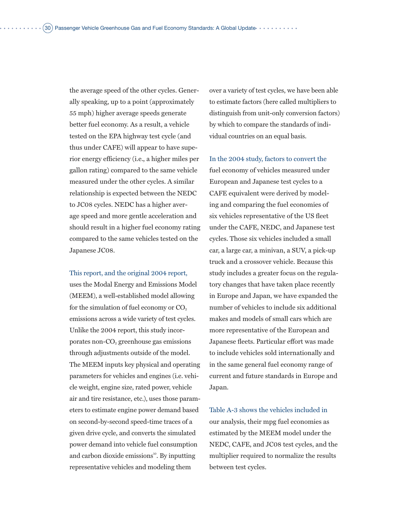the average speed of the other cycles. Generally speaking, up to a point (approximately 55 mph) higher average speeds generate better fuel economy. As a result, a vehicle tested on the EPA highway test cycle (and thus under CAFE) will appear to have superior energy efficiency (i.e., a higher miles per gallon rating) compared to the same vehicle measured under the other cycles. A similar relationship is expected between the NEDC to JC08 cycles. NEDC has a higher average speed and more gentle acceleration and should result in a higher fuel economy rating compared to the same vehicles tested on the Japanese JC08.

This report, and the original 2004 report,

uses the Modal Energy and Emissions Model (MEEM), a well-established model allowing for the simulation of fuel economy or  $CO<sub>2</sub>$ emissions across a wide variety of test cycles. Unlike the 2004 report, this study incorporates non- $CO<sub>2</sub>$  greenhouse gas emissions through adjustments outside of the model. The MEEM inputs key physical and operating parameters for vehicles and engines (i.e. vehicle weight, engine size, rated power, vehicle air and tire resistance, etc.), uses those parameters to estimate engine power demand based on second-by-second speed-time traces of a given drive cycle, and converts the simulated power demand into vehicle fuel consumption and carbon dioxide emissions $\mathbf{B}^{\text{o}}$ . By inputting representative vehicles and modeling them

over a variety of test cycles, we have been able to estimate factors (here called multipliers to distinguish from unit-only conversion factors) by which to compare the standards of individual countries on an equal basis.

In the 2004 study, factors to convert the fuel economy of vehicles measured under European and Japanese test cycles to a CAFE equivalent were derived by modeling and comparing the fuel economies of six vehicles representative of the US fleet under the CAFE, NEDC, and Japanese test cycles. Those six vehicles included a small car, a large car, a minivan, a SUV, a pick-up truck and a crossover vehicle. Because this study includes a greater focus on the regulatory changes that have taken place recently in Europe and Japan, we have expanded the number of vehicles to include six additional makes and models of small cars which are more representative of the European and Japanese fleets. Particular effort was made to include vehicles sold internationally and in the same general fuel economy range of current and future standards in Europe and Japan.

Table A-3 shows the vehicles included in our analysis, their mpg fuel economies as estimated by the MEEM model under the NEDC, CAFE, and JC08 test cycles, and the multiplier required to normalize the results between test cycles.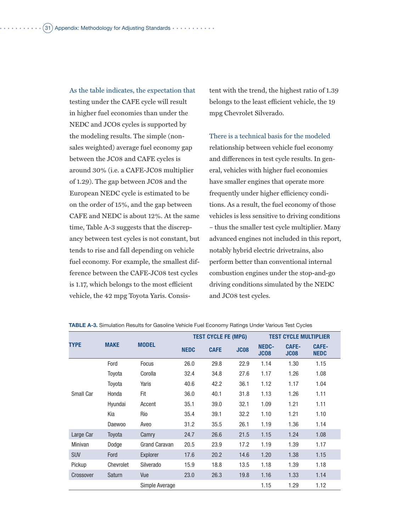As the table indicates, the expectation that testing under the CAFE cycle will result in higher fuel economies than under the NEDC and JCO8 cycles is supported by the modeling results. The simple (nonsales weighted) average fuel economy gap between the JC08 and CAFE cycles is around 30% (i.e. a CAFE-JC08 multiplier of 1.29). The gap between JC08 and the European NEDC cycle is estimated to be on the order of 15%, and the gap between CAFE and NEDC is about 12%. At the same time, Table A-3 suggests that the discrepancy between test cycles is not constant, but tends to rise and fall depending on vehicle fuel economy. For example, the smallest difference between the CAFE-JC08 test cycles is 1.17, which belongs to the most efficient vehicle, the 42 mpg Toyota Yaris. Consis-

tent with the trend, the highest ratio of 1.39 belongs to the least efficient vehicle, the 19 mpg Chevrolet Silverado.

There is a technical basis for the modeled relationship between vehicle fuel economy and differences in test cycle results. In general, vehicles with higher fuel economies have smaller engines that operate more frequently under higher efficiency conditions. As a result, the fuel economy of those vehicles is less sensitive to driving conditions – thus the smaller test cycle multiplier. Many advanced engines not included in this report, notably hybrid electric drivetrains, also perform better than conventional internal combustion engines under the stop-and-go driving conditions simulated by the NEDC and JC08 test cycles.

|                | <b>MAKE</b> |                      | <b>TEST CYCLE FE (MPG)</b> |             |             | <b>TEST CYCLE MULTIPLIER</b> |                             |                             |  |
|----------------|-------------|----------------------|----------------------------|-------------|-------------|------------------------------|-----------------------------|-----------------------------|--|
| <b>TYPE</b>    |             | <b>MODEL</b>         | <b>NEDC</b>                | <b>CAFE</b> | <b>JC08</b> | NEDC-<br><b>JC08</b>         | <b>CAFE-</b><br><b>JC08</b> | <b>CAFE-</b><br><b>NEDC</b> |  |
|                | Ford        | <b>Focus</b>         | 26.0                       | 29.8        | 22.9        | 1.14                         | 1.30                        | 1.15                        |  |
|                | Toyota      | Corolla              | 32.4                       | 34.8        | 27.6        | 1.17                         | 1.26                        | 1.08                        |  |
|                | Toyota      | Yaris                | 40.6                       | 42.2        | 36.1        | 1.12                         | 1.17                        | 1.04                        |  |
| Small Car      | Honda       | Fit                  | 36.0                       | 40.1        | 31.8        | 1.13                         | 1.26                        | 1.11                        |  |
|                | Hyundai     | Accent               | 35.1                       | 39.0        | 32.1        | 1.09                         | 1.21                        | 1.11                        |  |
|                | Kia         | Rio                  | 35.4                       | 39.1        | 32.2        | 1.10                         | 1.21                        | 1.10                        |  |
|                | Daewoo      | Aveo                 | 31.2                       | 35.5        | 26.1        | 1.19                         | 1.36                        | 1.14                        |  |
| Large Car      | Toyota      | Camry                | 24.7                       | 26.6        | 21.5        | 1.15                         | 1.24                        | 1.08                        |  |
| <b>Minivan</b> | Dodge       | <b>Grand Caravan</b> | 20.5                       | 23.9        | 17.2        | 1.19                         | 1.39                        | 1.17                        |  |
| <b>SUV</b>     | Ford        | Explorer             | 17.6                       | 20.2        | 14.6        | 1.20                         | 1.38                        | 1.15                        |  |
| Pickup         | Chevrolet   | Silverado            | 15.9                       | 18.8        | 13.5        | 1.18                         | 1.39                        | 1.18                        |  |
| Crossover      | Saturn      | Vue                  | 23.0                       | 26.3        | 19.8        | 1.16                         | 1.33                        | 1.14                        |  |
|                |             | Simple Average       |                            |             |             | 1.15                         | 1.29                        | 1.12                        |  |

**TABLE A-3.** Simulation Results for Gasoline Vehicle Fuel Economy Ratings Under Various Test Cycles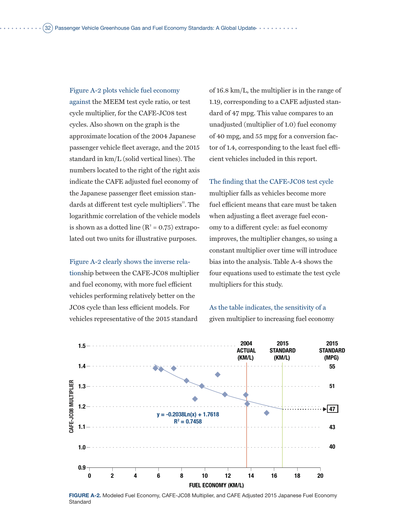Figure A-2 plots vehicle fuel economy against the MEEM test cycle ratio, or test cycle multiplier, for the CAFE-JC08 test cycles. Also shown on the graph is the approximate location of the 2004 Japanese passenger vehicle fleet average, and the 2015 standard in km/L (solid vertical lines). The numbers located to the right of the right axis indicate the CAFE adjusted fuel economy of the Japanese passenger fleet emission standards at different test cycle multipliers". The logarithmic correlation of the vehicle models is shown as a dotted line  $(R^2 = 0.75)$  extrapolated out two units for illustrative purposes.

Figure A-2 clearly shows the inverse relationship between the CAFE-JC08 multiplier and fuel economy, with more fuel efficient vehicles performing relatively better on the JC08 cycle than less efficient models. For vehicles representative of the 2015 standard

of 16.8 km/L, the multiplier is in the range of 1.19, corresponding to a CAFE adjusted standard of 47 mpg. This value compares to an unadjusted (multiplier of 1.0) fuel economy of 40 mpg, and 55 mpg for a conversion factor of 1.4, corresponding to the least fuel efficient vehicles included in this report.

The finding that the CAFE-JC08 test cycle multiplier falls as vehicles become more fuel efficient means that care must be taken when adjusting a fleet average fuel economy to a different cycle: as fuel economy improves, the multiplier changes, so using a constant multiplier over time will introduce bias into the analysis. Table A-4 shows the four equations used to estimate the test cycle multipliers for this study.

As the table indicates, the sensitivity of a given multiplier to increasing fuel economy



**FIGURE A-2.** Modeled Fuel Economy, CAFE-JC08 Multiplier, and CAFE Adjusted 2015 Japanese Fuel Economy **Standard**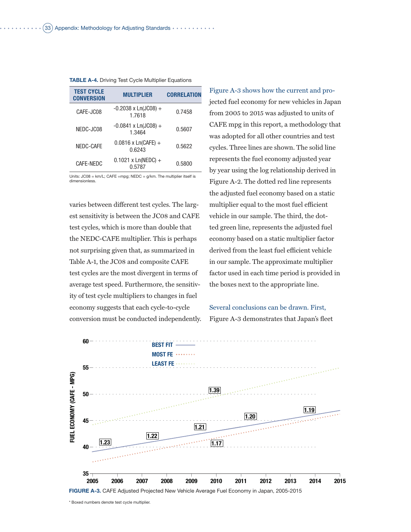| <b>TEST CYCLE</b><br><b>CONVERSION</b> | <b>MULTIPLIER</b>                     | <b>CORRELATION</b> |  |  |  |  |
|----------------------------------------|---------------------------------------|--------------------|--|--|--|--|
| CAFE-JC08                              | $-0.2038 \times Ln(JCO8) +$<br>1.7618 | 0.7458             |  |  |  |  |
| NEDC-JC08                              | $-0.0841 \times Ln(JCO8) +$<br>1.3464 | 0.5607             |  |  |  |  |
| NEDC-CAFE                              | $0.0816$ x Ln(CAFE) +<br>0.6243       | 0.5622             |  |  |  |  |
| CAFE-NEDC                              | $0.1021 \times Ln(NEDC) +$<br>0.5787  | 0.5800             |  |  |  |  |
| 1 1 21.01<br>1000                      |                                       |                    |  |  |  |  |

#### **TABLE A-4.** Driving Test Cycle Multiplier Equations

Units: JC08 = km/L; CAFE =mpg; NEDC = g/km. The multiplier itself is dimensionless.

varies between different test cycles. The largest sensitivity is between the JC08 and CAFE test cycles, which is more than double that the NEDC-CAFE multiplier. This is perhaps not surprising given that, as summarized in Table A-1, the JC08 and composite CAFE test cycles are the most divergent in terms of average test speed. Furthermore, the sensitivity of test cycle multipliers to changes in fuel economy suggests that each cycle-to-cycle conversion must be conducted independently.

Figure A-3 shows how the current and projected fuel economy for new vehicles in Japan from 2005 to 2015 was adjusted to units of CAFE mpg in this report, a methodology that was adopted for all other countries and test cycles. Three lines are shown. The solid line represents the fuel economy adjusted year by year using the log relationship derived in Figure A-2. The dotted red line represents the adjusted fuel economy based on a static multiplier equal to the most fuel efficient vehicle in our sample. The third, the dotted green line, represents the adjusted fuel economy based on a static multiplier factor derived from the least fuel efficient vehicle in our sample. The approximate multiplier factor used in each time period is provided in the boxes next to the appropriate line.

### Several conclusions can be drawn. First, Figure A-3 demonstrates that Japan's fleet

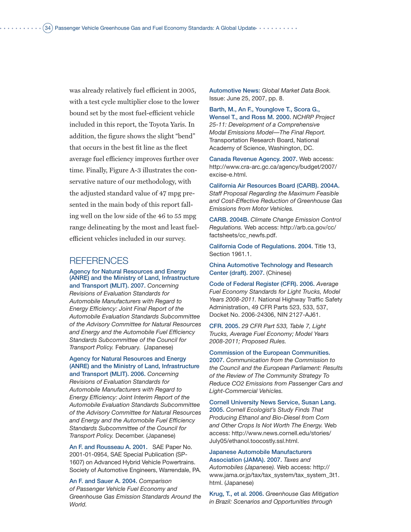was already relatively fuel efficient in 2005, with a test cycle multiplier close to the lower bound set by the most fuel-efficient vehicle included in this report, the Toyota Yaris. In addition, the figure shows the slight "bend" that occurs in the best fit line as the fleet average fuel efficiency improves further over time. Finally, Figure A-3 illustrates the conservative nature of our methodology, with the adjusted standard value of 47 mpg presented in the main body of this report falling well on the low side of the 46 to 55 mpg range delineating by the most and least fuelefficient vehicles included in our survey.

### REFERENCES

Agency for Natural Resources and Energy (ANRE) and the Ministry of Land, Infrastructure and Transport (MLIT). 2007. *Concerning* 

*Revisions of Evaluation Standards for Automobile Manufacturers with Regard to Energy Efficiency: Joint Final Report of the Automobile Evaluation Standards Subcommittee of the Advisory Committee for Natural Resources and Energy and the Automobile Fuel Efficiency Standards Subcommittee of the Council for Transport Policy.* February. (Japanese)

### Agency for Natural Resources and Energy (ANRE) and the Ministry of Land, Infrastructure and Transport (MLIT). 2006. *Concerning*

*Revisions of Evaluation Standards for Automobile Manufacturers with Regard to Energy Efficiency: Joint Interim Report of the Automobile Evaluation Standards Subcommittee of the Advisory Committee for Natural Resources and Energy and the Automobile Fuel Efficiency Standards Subcommittee of the Council for Transport Policy.* December. (Japanese)

An F. and Rousseau A. 2001. SAE Paper No. 2001-01-0954, SAE Special Publication (SP-1607) on Advanced Hybrid Vehicle Powertrains. Society of Automotive Engineers, Warrendale, PA.

An F. and Sauer A. 2004. *Comparison of Passenger Vehicle Fuel Economy and Greenhouse Gas Emission Standards Around the World.*

Automotive News: *Global Market Data Book.* Issue: June 25, 2007, pp. 8.

Barth, M., An F., Younglove T., Scora G., Wensel T., and Ross M. 2000. *NCHRP Project 25-11: Development of a Comprehensive Modal Emissions Model—The Final Report.* Transportation Research Board, National Academy of Science, Washington, DC.

Canada Revenue Agency. 2007. Web access: http://www.cra-arc.gc.ca/agency/budget/2007/ excise-e.html.

California Air Resources Board (CARB). 2004A. *Staff Proposal Regarding the Maximum Feasible and Cost-Effective Reduction of Greenhouse Gas Emissions from Motor Vehicles.*

CARB. 2004B. *Climate Change Emission Control Regulations.* Web access: http://arb.ca.gov/cc/ factsheets/cc\_newfs.pdf.

California Code of Regulations. 2004. Title 13, Section 1961.1.

China Automotive Technology and Research Center (draft). 2007. (Chinese)

Code of Federal Register (CFR). 2006. *Average Fuel Economy Standards for Light Trucks, Model Years 2008-2011.* National Highway Traffic Safety Administration, 49 CFR Parts 523, 533, 537, Docket No. 2006-24306, NIN 2127-AJ61.

CFR. 2005. *29 CFR Part 533, Table 7, Light Trucks, Average Fuel Economy; Model Years 2008-2011; Proposed Rules.*

Commission of the European Communities. 2007. *Communication from the Commission to the Council and the European Parliament: Results of the Review of The Community Strategy To Reduce CO2 Emissions from Passenger Cars and Light-Commercial Vehicles.*

Cornell University News Service, Susan Lang. 2005. *Cornell Ecologist's Study Finds That Producing Ethanol and Bio-Diesel from Corn and Other Crops Is Not Worth The Energy.* Web access: http://www.news.cornell.edu/stories/ July05/ethanol.toocostly.ssl.html.

Japanese Automobile Manufacturers Association (JAMA). 2007. *Taxes and Automobiles (Japanese).* Web access: http:// www.jama.or.jp/tax/tax\_system/tax\_system\_3t1. html. (Japanese)

Krug, T., et al. 2006. *Greenhouse Gas Mitigation in Brazil: Scenarios and Opportunities through*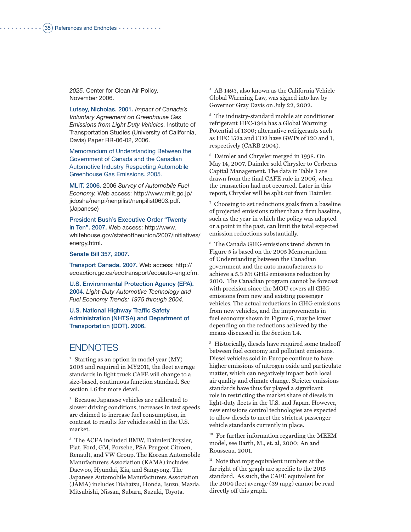*2025.* Center for Clean Air Policy, November 2006.

Lutsey, Nicholas. 2001. *Impact of Canada's Voluntary Agreement on Greenhouse Gas Emissions from Light Duty Vehicles.* Institute of Transportation Studies (University of California, Davis) Paper RR-06-02, 2006.

Memorandum of Understanding Between the Government of Canada and the Canadian Automotive Industry Respecting Automobile Greenhouse Gas Emissions. 2005.

MLIT. 2006. 2006 *Survey of Automobile Fuel Economy.* Web access: http://www.mlit.go.jp/ jidosha/nenpi/nenpilist/nenpilist0603.pdf. (Japanese)

President Bush's Executive Order "Twenty in Ten". 2007. Web access: http://www. whitehouse.gov/stateoftheunion/2007/initiatives/ energy.html.

Senate Bill 357, 2007.

Transport Canada. 2007. Web access: http:// ecoaction.gc.ca/ecotransport/ecoauto-eng.cfm.

U.S. Environmental Protection Agency (EPA). 2004. *Light-Duty Automotive Technology and Fuel Economy Trends: 1975 through 2004.*

U.S. National Highway Traffic Safety Administration (NHTSA) and Department of Transportation (DOT). 2006.

## **ENDNOTES**

<sup>1</sup> Starting as an option in model year  $(MY)$ 2008 and required in MY2011, the fleet average standards in light truck CAFE will change to a size-based, continuous function standard. See section 1.6 for more detail.

<sup>2</sup> Because Japanese vehicles are calibrated to slower driving conditions, increases in test speeds are claimed to increase fuel consumption, in contrast to results for vehicles sold in the U.S. market.

<sup>3</sup> The ACEA included BMW, DaimlerChrysler, Fiat, Ford, GM, Porsche, PSA Peugeot Citroen, Renault, and VW Group. The Korean Automobile Manufacturers Association (KAMA) includes Daewoo, Hyundai, Kia, and Sangyong. The Japanese Automobile Manufacturers Association (JAMA) includes Diahatsu, Honda, Isuzu, Mazda, Mitsubishi, Nissan, Subaru, Suzuki, Toyota.

<sup>4</sup> AB 1493, also known as the California Vehicle Global Warming Law, was signed into law by Governor Gray Davis on July 22, 2002.

<sup>5</sup> The industry-standard mobile air conditioner refrigerant HFC-134a has a Global Warming Potential of 1300; alternative refrigerants such as HFC 152a and CO2 have GWPs of 120 and 1, respectively (CARB 2004).

<sup>6</sup> Daimler and Chrysler merged in 1998. On May 14, 2007, Daimler sold Chrysler to Cerberus Capital Management. The data in Table 1 are drawn from the final CAFE rule in 2006, when the transaction had not occurred. Later in this report, Chrysler will be split out from Daimler.

<sup>7</sup> Choosing to set reductions goals from a baseline of projected emissions rather than a firm baseline, such as the year in which the policy was adopted or a point in the past, can limit the total expected emission reductions substantially.

<sup>8</sup> The Canada GHG emissions trend shown in Figure 5 is based on the 2005 Memorandum of Understanding between the Canadian government and the auto manufacturers to achieve a 5.3 Mt GHG emissions reduction by 2010. The Canadian program cannot be forecast with precision since the MOU covers all GHG emissions from new and existing passenger vehicles. The actual reductions in GHG emissions from new vehicles, and the improvements in fuel economy shown in Figure 6, may be lower depending on the reductions achieved by the means discussed in the Section 1.4.

<sup>9</sup> Historically, diesels have required some tradeoff between fuel economy and pollutant emissions. Diesel vehicles sold in Europe continue to have higher emissions of nitrogen oxide and particulate matter, which can negatively impact both local air quality and climate change. Stricter emissions standards have thus far played a significant role in restricting the market share of diesels in light-duty fleets in the U.S. and Japan. However, new emissions control technologies are expected to allow diesels to meet the strictest passenger vehicle standards currently in place.

<sup>10</sup> For further information regarding the MEEM model, see Barth, M., et. al, 2000; An and Rousseau. 2001.

 $11$  Note that mpg equivalent numbers at the far right of the graph are specific to the 2015 standard. As such, the CAFE equivalent for the 2004 fleet average (39 mpg) cannot be read directly off this graph.